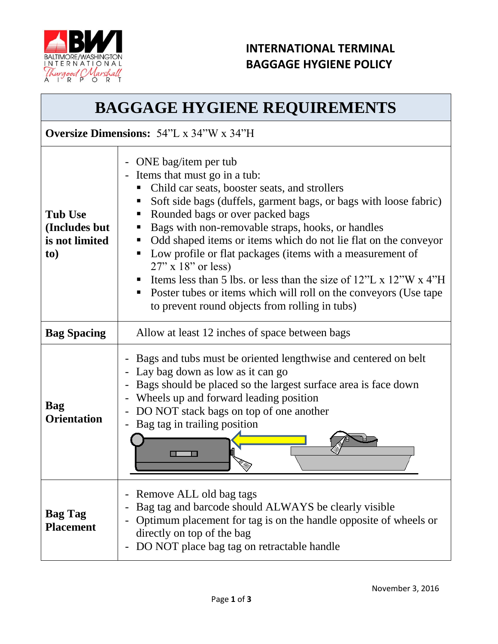

### **INTERNATIONAL TERMINAL BAGGAGE HYGIENE POLICY**

# **BAGGAGE HYGIENE REQUIREMENTS**

#### **Oversize Dimensions:** 54"L x 34"W x 34"H

| <b>Tub Use</b><br>(Includes but<br>is not limited<br>to) | ONE bag/item per tub<br>$\blacksquare$<br>Items that must go in a tub:<br>Child car seats, booster seats, and strollers<br>Soft side bags (duffels, garment bags, or bags with loose fabric)<br>Rounded bags or over packed bags<br>п<br>Bags with non-removable straps, hooks, or handles<br>Odd shaped items or items which do not lie flat on the conveyor<br>п<br>Low profile or flat packages (items with a measurement of<br>$27"$ x 18" or less)<br>Items less than 5 lbs. or less than the size of $12^{\prime\prime}$ L x $12^{\prime\prime}$ W x 4 <sup><math>\prime\prime</math></sup> H<br>Poster tubes or items which will roll on the conveyors (Use tape<br>to prevent round objects from rolling in tubs) |
|----------------------------------------------------------|---------------------------------------------------------------------------------------------------------------------------------------------------------------------------------------------------------------------------------------------------------------------------------------------------------------------------------------------------------------------------------------------------------------------------------------------------------------------------------------------------------------------------------------------------------------------------------------------------------------------------------------------------------------------------------------------------------------------------|
| <b>Bag Spacing</b>                                       | Allow at least 12 inches of space between bags                                                                                                                                                                                                                                                                                                                                                                                                                                                                                                                                                                                                                                                                            |
| <b>Bag</b><br><b>Orientation</b>                         | Bags and tubs must be oriented lengthwise and centered on belt<br>$\overline{a}$<br>Lay bag down as low as it can go<br>Bags should be placed so the largest surface area is face down<br>Wheels up and forward leading position<br>DO NOT stack bags on top of one another<br>Bag tag in trailing position                                                                                                                                                                                                                                                                                                                                                                                                               |
| <b>Bag Tag</b><br><b>Placement</b>                       | Remove ALL old bag tags<br>$\qquad \qquad \blacksquare$<br>Bag tag and barcode should ALWAYS be clearly visible<br>Optimum placement for tag is on the handle opposite of wheels or<br>directly on top of the bag<br>DO NOT place bag tag on retractable handle<br>$\overline{\phantom{0}}$                                                                                                                                                                                                                                                                                                                                                                                                                               |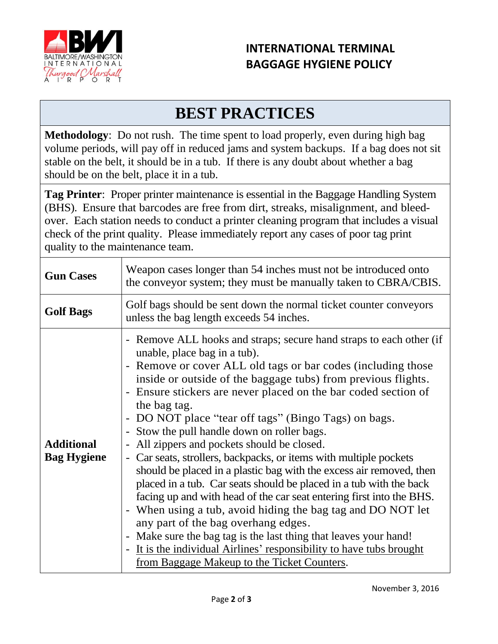

### **INTERNATIONAL TERMINAL BAGGAGE HYGIENE POLICY**

# **BEST PRACTICES**

**Methodology**: Do not rush. The time spent to load properly, even during high bag volume periods, will pay off in reduced jams and system backups. If a bag does not sit stable on the belt, it should be in a tub. If there is any doubt about whether a bag should be on the belt, place it in a tub.

**Tag Printer**: Proper printer maintenance is essential in the Baggage Handling System (BHS). Ensure that barcodes are free from dirt, streaks, misalignment, and bleedover. Each station needs to conduct a printer cleaning program that includes a visual check of the print quality. Please immediately report any cases of poor tag print quality to the maintenance team.

| <b>Gun Cases</b>                        | Weapon cases longer than 54 inches must not be introduced onto<br>the conveyor system; they must be manually taken to CBRA/CBIS.                                                                                                                                                                                                                                                                                                                                                                                                                                                                                                                                                                                                                                                                                                                                                                                                                                                                                                                                  |
|-----------------------------------------|-------------------------------------------------------------------------------------------------------------------------------------------------------------------------------------------------------------------------------------------------------------------------------------------------------------------------------------------------------------------------------------------------------------------------------------------------------------------------------------------------------------------------------------------------------------------------------------------------------------------------------------------------------------------------------------------------------------------------------------------------------------------------------------------------------------------------------------------------------------------------------------------------------------------------------------------------------------------------------------------------------------------------------------------------------------------|
| <b>Golf Bags</b>                        | Golf bags should be sent down the normal ticket counter conveyors<br>unless the bag length exceeds 54 inches.                                                                                                                                                                                                                                                                                                                                                                                                                                                                                                                                                                                                                                                                                                                                                                                                                                                                                                                                                     |
| <b>Additional</b><br><b>Bag Hygiene</b> | - Remove ALL hooks and straps; secure hand straps to each other (if<br>unable, place bag in a tub).<br>- Remove or cover ALL old tags or bar codes (including those<br>inside or outside of the baggage tubs) from previous flights.<br>- Ensure stickers are never placed on the bar coded section of<br>the bag tag.<br>- DO NOT place "tear off tags" (Bingo Tags) on bags.<br>- Stow the pull handle down on roller bags.<br>All zippers and pockets should be closed.<br>Car seats, strollers, backpacks, or items with multiple pockets<br>should be placed in a plastic bag with the excess air removed, then<br>placed in a tub. Car seats should be placed in a tub with the back<br>facing up and with head of the car seat entering first into the BHS.<br>- When using a tub, avoid hiding the bag tag and DO NOT let<br>any part of the bag overhang edges.<br>- Make sure the bag tag is the last thing that leaves your hand!<br>It is the individual Airlines' responsibility to have tubs brought<br>from Baggage Makeup to the Ticket Counters. |